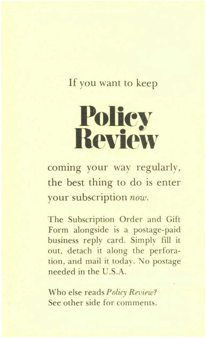## If you want to keep

# **Polley Review**

coming your way regularly, the best thing to do is enter your subscription *now.* 

The Subscription Order and Gift Form alongside is a postage-paid business reply card. Simply fill it out, detach it along the perforation, and mail it today. No postage needed in the C.S.A.

Who else reads *Policy Review?*  See other side for comments.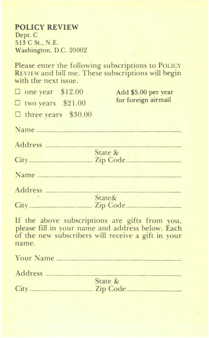#### **POLICY REVIEW**  Dept. C  $513$  C St., N.E. Washington. D.C. 20002

Please enter the following subscriptions to PoLICY REVIEW and bill me. These subscriptions will begin with the next issue.

| $\Box$ one year \$12.00    | Add \$5.00 per year                                                                                                                                      |
|----------------------------|----------------------------------------------------------------------------------------------------------------------------------------------------------|
| $\Box$ two years \$21.00   | for foreign airmail                                                                                                                                      |
| $\Box$ three years \$30.00 |                                                                                                                                                          |
| Name                       |                                                                                                                                                          |
| Address _                  |                                                                                                                                                          |
|                            | State &                                                                                                                                                  |
|                            | Zip Code_                                                                                                                                                |
| Name <sub>-</sub>          |                                                                                                                                                          |
| Address __                 |                                                                                                                                                          |
|                            | State&                                                                                                                                                   |
|                            | Zip Code_                                                                                                                                                |
| name.                      | If the above subscriptions are gifts from you,<br>please fill in your name and address below. Each<br>of the new subscribers will receive a gift in your |

| <b>Your Name</b> |                     |  |
|------------------|---------------------|--|
| Address          |                     |  |
| City             | State &<br>Zip Code |  |